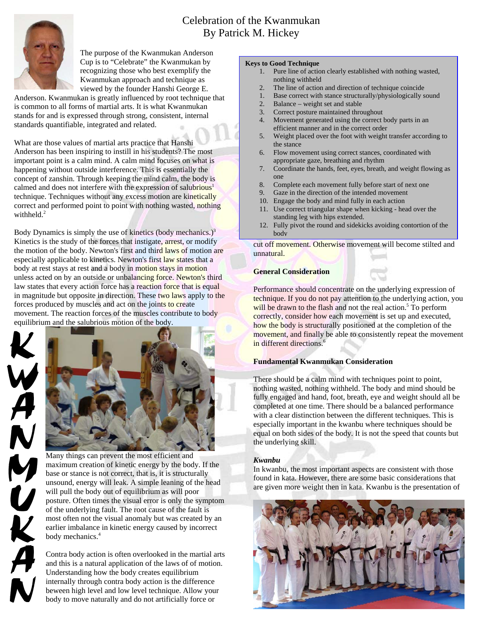# Celebration of the Kwanmukan By Patrick M. Hickey



The purpose of the Kwanmukan Anderson Cup is to "Celebrate" the Kwanmukan by recognizing those who best exemplify the Kwanmukan approach and technique as viewed by the founder Hanshi George E.

Anderson. Kwanmukan is greatly influenced by root technique that is common to all forms of martial arts. It is what Kwanmukan stands for and is expressed through strong, consistent, internal standards quantifiable, integrated and related.

What are those values of martial arts practice that Hanshi Anderson has been inspiring to instill in his students? The most important point is a calm mind. A calm mind focuses on what is happening without outside interference. This is essentially the concept of zanshin. Through keeping the mind calm, the body is calmed and does not interfere with the expression of salubrious<sup>1</sup> technique. Techniques without any excess motion are kinetically correct and performed point to point with nothing wasted, nothing withheld. $2$ 

Body Dynamics is simply the use of kinetics (body mechanics.)<sup>3</sup> Kinetics is the study of the forces that instigate, arrest, or modify the motion of the body. Newton's first and third laws of motion are especially applicable to kinetics. Newton's first law states that a body at rest stays at rest and a body in motion stays in motion unless acted on by an outside or unbalancing force. Newton's third law states that every action force has a reaction force that is equal in magnitude but opposite in direction. These two laws apply to the forces produced by muscles and act on the joints to create movement. The reaction forces of the muscles contribute to body equilibrium and the salubrious motion of the body.





Many things can prevent the most efficient and maximum creation of kinetic energy by the body. If the base or stance is not correct, that is, it is structurally unsound, energy will leak. A simple leaning of the head will pull the body out of equilibrium as will poor posture. Often times the visual error is only the symptom of the underlying fault. The root cause of the fault is most often not the visual anomaly but was created by an earlier imbalance in kinetic energy caused by incorrect body mechanics.<sup>4</sup>

Contra body action is often overlooked in the martial arts and this is a natural application of the laws of of motion. Understanding how the body creates equilibrium internally through contra body action is the difference beween high level and low level technique. Allow your body to move naturally and do not artificially force or

#### **Keys to Good Technique**

- 1. Pure line of action clearly established with nothing wasted, nothing withheld
- 2. The line of action and direction of technique coincide
- 1. Base correct with stance structurally/physiologically sound
- 2. Balance weight set and stable
- 3. Correct posture maintained throughout
- 4. Movement generated using the correct body parts in an efficient manner and in the correct order
- 5. Weight placed over the foot with weight transfer according to the stance
- 6. Flow movement using correct stances, coordinated with appropriate gaze, breathing and rhythm
- 7. Coordinate the hands, feet, eyes, breath, and weight flowing as one
- 8. Complete each movement fully before start of next one
- 9. Gaze in the direction of the intended movement
- 10. Engage the body and mind fully in each action
- 11. Use correct triangular shape when kicking head over the standing leg with hips extended.
- 12. Fully pivot the round and sidekicks avoiding contortion of the body

cut off movement. Otherwise movement will become stilted and unnatural.

## **General Consideration**

Performance should concentrate on the underlying expression of technique. If you do not pay attention to the underlying action, you will be drawn to the flash and not the real action.<sup>5</sup> To perform correctly, consider how each movement is set up and executed, how the body is structurally positioned at the completion of the movement, and finally be able to consistently repeat the movement in different directions.<sup>6</sup>

# **Fundamental Kwanmukan Consideration**

There should be a calm mind with techniques point to point, nothing wasted, nothing withheld. The body and mind should be fully engaged and hand, foot, breath, eye and weight should all be completed at one time. There should be a balanced performance with a clear distinction between the different techniques. This is especially important in the kwanbu where techniques should be equal on both sides of the body. It is not the speed that counts but the underlying skill.

# *Kwanbu*

In kwanbu, the most important aspects are consistent with those found in kata. However, there are some basic considerations that are given more weight then in kata. Kwanbu is the presentation of

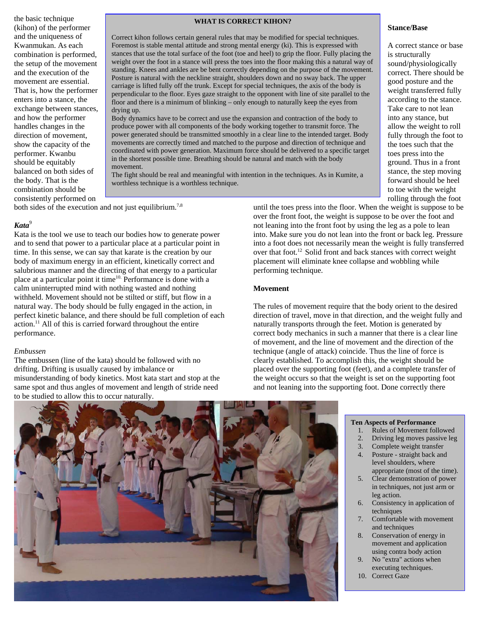the basic technique (kihon) of the performer and the uniqueness of Kwanmukan. As each combination is performed, the setup of the movement and the execution of the movement are essential. That is, how the performer enters into a stance, the exchange between stances, and how the performer handles changes in the direction of movement, show the capacity of the performer. Kwanbu should be equitably balanced on both sides of the body. That is the combination should be consistently performed on

#### **WHAT IS CORRECT KIHON?**

Correct kihon follows certain general rules that may be modified for special techniques. Foremost is stable mental attitude and strong mental energy (ki). This is expressed with stances that use the total surface of the foot (toe and heel) to grip the floor. Fully placing the weight over the foot in a stance will press the toes into the floor making this a natural way of standing. Knees and ankles are be bent correctly depending on the purpose of the movement. Posture is natural with the neckline straight, shoulders down and no sway back. The upper carriage is lifted fully off the trunk. Except for special techniques, the axis of the body is perpendicular to the floor. Eyes gaze straight to the opponent with line of site parallel to the floor and there is a minimum of blinking – only enough to naturally keep the eyes from drying up.

Body dynamics have to be correct and use the expansion and contraction of the body to produce power with all components of the body working together to transmit force. The power generated should be transmitted smoothly in a clear line to the intended target. Body movements are correctly timed and matched to the purpose and direction of technique and coordinated with power generation. Maximum force should be delivered to a specific target in the shortest possible time. Breathing should be natural and match with the body movement.

The fight should be real and meaningful with intention in the techniques. As in Kumite, a worthless technique is a worthless technique.

both sides of the execution and not just equilibrium.<sup>7,8</sup>

## *Kata*<sup>9</sup>

Kata is the tool we use to teach our bodies how to generate power and to send that power to a particular place at a particular point in time. In this sense, we can say that karate is the creation by our body of maximum energy in an efficient, kinetically correct and salubrious manner and the directing of that energy to a particular place at a particular point it time<sup>10.</sup> Performance is done with a calm uninterrupted mind with nothing wasted and nothing withheld. Movement should not be stilted or stiff, but flow in a natural way. The body should be fully engaged in the action, in perfect kinetic balance, and there should be full completion of each  $\alpha$  action.<sup>11</sup> All of this is carried forward throughout the entire performance.

#### *Embussen*

The embussen (line of the kata) should be followed with no drifting. Drifting is usually caused by imbalance or misunderstanding of body kinetics. Most kata start and stop at the same spot and thus angles of movement and length of stride need to be studied to allow this to occur naturally.

rolling through the foot until the toes press into the floor. When the weight is suppose to be over the front foot, the weight is suppose to be over the foot and not leaning into the front foot by using the leg as a pole to lean into. Make sure you do not lean into the front or back leg. Pressure into a foot does not necessarily mean the weight is fully transferred over that foot.<sup>12</sup> Solid front and back stances with correct weight placement will eliminate knee collapse and wobbling while performing technique.

## **Movement**

The rules of movement require that the body orient to the desired direction of travel, move in that direction, and the weight fully and naturally transports through the feet. Motion is generated by correct body mechanics in such a manner that there is a clear line of movement, and the line of movement and the direction of the technique (angle of attack) coincide. Thus the line of force is clearly established. To accomplish this, the weight should be placed over the supporting foot (feet), and a complete transfer of the weight occurs so that the weight is set on the supporting foot and not leaning into the supporting foot. Done correctly there



#### **Ten Aspects of Performance**

- 1. Rules of Movement followed
- 2. Driving leg moves passive leg
- 3. Complete weight transfer
- 4. Posture straight back and level shoulders, where appropriate (most of the time).
- 5. Clear demonstration of power in techniques, not just arm or leg action.
- 6. Consistency in application of techniques
- 7. Comfortable with movement and techniques
- 8. Conservation of energy in movement and application using contra body action
- 9. No "extra" actions when executing techniques.
- 10. Correct Gaze

#### **Stance/Base**

A correct stance or base is structurally sound/physiologically correct. There should be good posture and the weight transferred fully according to the stance. Take care to not lean into any stance, but allow the weight to roll fully through the foot to the toes such that the toes press into the ground. Thus in a front stance, the step moving forward should be heel to toe with the weight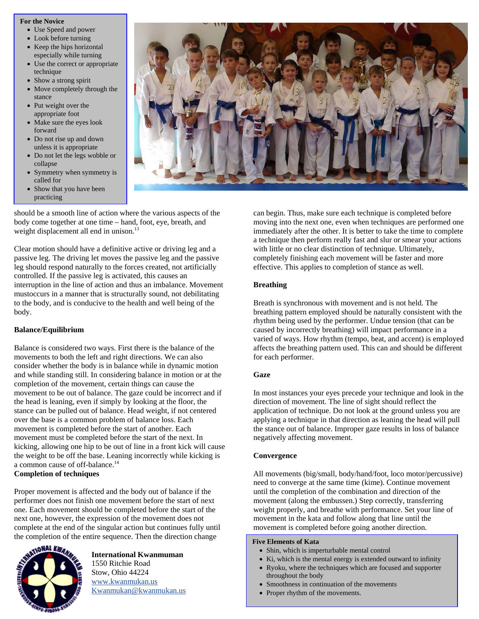#### **For the Novice**

- Use Speed and power
- Look before turning
- Keep the hips horizontal especially while turning
- Use the correct or appropriate technique
- Show a strong spirit
- Move completely through the stance
- Put weight over the appropriate foot
- Make sure the eyes look forward
- Do not rise up and down unless it is appropriate
- Do not let the legs wobble or collapse
- Symmetry when symmetry is called for
- Show that you have been practicing



should be a smooth line of action where the various aspects of the body come together at one time – hand, foot, eye, breath, and weight displacement all end in unison.<sup>13</sup>

Clear motion should have a definitive active or driving leg and a passive leg. The driving let moves the passive leg and the passive leg should respond naturally to the forces created, not artificially controlled. If the passive leg is activated, this causes an interruption in the line of action and thus an imbalance. Movement mustoccurs in a manner that is structurally sound, not debilitating to the body, and is conducive to the health and well being of the body.

# **Balance/Equilibrium**

Balance is considered two ways. First there is the balance of the movements to both the left and right directions. We can also consider whether the body is in balance while in dynamic motion and while standing still. In considering balance in motion or at the completion of the movement, certain things can cause the movement to be out of balance. The gaze could be incorrect and if the head is leaning, even if simply by looking at the floor, the stance can be pulled out of balance. Head weight, if not centered over the base is a common problem of balance loss. Each movement is completed before the start of another. Each movement must be completed before the start of the next. In kicking, allowing one hip to be out of line in a front kick will cause the weight to be off the base. Leaning incorrectly while kicking is a common cause of off-balance.<sup>14</sup> **Completion of techniques** 

Proper movement is affected and the body out of balance if the performer does not finish one movement before the start of next one. Each movement should be completed before the start of the next one, however, the expression of the movement does not complete at the end of the singular action but continues fully until the completion of the entire sequence. Then the direction change



**International Kwanmuman**  1550 Ritchie Road Stow, Ohio 44224 www.kwanmukan.us Kwanmukan@kwanmukan.us can begin. Thus, make sure each technique is completed before moving into the next one, even when techniques are performed one immediately after the other. It is better to take the time to complete a technique then perform really fast and slur or smear your actions with little or no clear distinction of technique. Ultimately, completely finishing each movement will be faster and more effective. This applies to completion of stance as well.

# **Breathing**

Breath is synchronous with movement and is not held. The breathing pattern employed should be naturally consistent with the rhythm being used by the performer. Undue tension (that can be caused by incorrectly breathing) will impact performance in a varied of ways. How rhythm (tempo, beat, and accent) is employed affects the breathing pattern used. This can and should be different for each performer.

# **Gaze**

In most instances your eyes precede your technique and look in the direction of movement. The line of sight should reflect the application of technique. Do not look at the ground unless you are applying a technique in that direction as leaning the head will pull the stance out of balance. Improper gaze results in loss of balance negatively affecting movement.

# **Convergence**

All movements (big/small, body/hand/foot, loco motor/percussive) need to converge at the same time (kime). Continue movement until the completion of the combination and direction of the movement (along the embussen.) Step correctly, transferring weight properly, and breathe with performance. Set your line of movement in the kata and follow along that line until the movement is completed before going another direction.

## **Five Elements of Kata**

- Shin, which is imperturbable mental control
- Ki, which is the mental energy is extended outward to infinity
- Ryoku, where the techniques which are focused and supporter throughout the body
- Smoothness in continuation of the movements
- Proper rhythm of the movements.